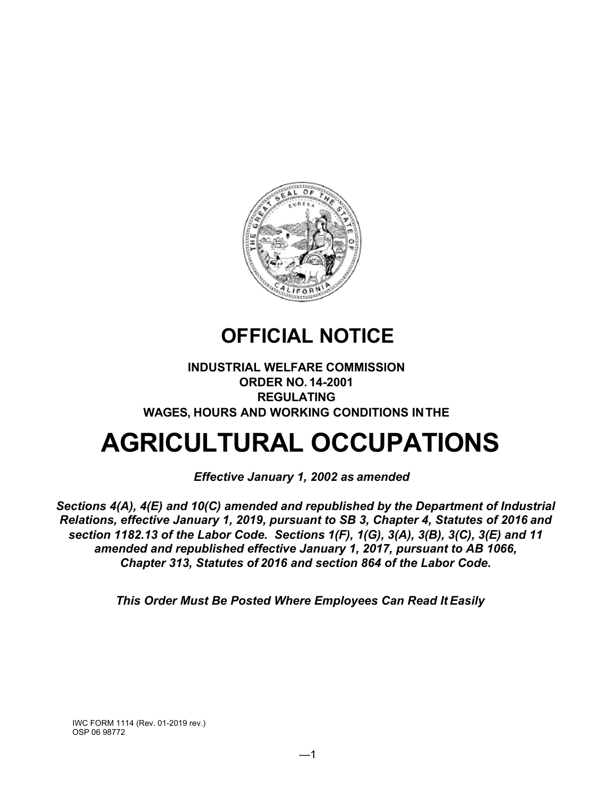

## **OFFICIAL NOTICE**

**INDUSTRIAL WELFARE COMMISSION ORDER NO. 14-2001 REGULATING WAGES, HOURS AND WORKING CONDITIONS IN THE** 

# **AGRICULTURAL OCCUPATIONS**

*Effective January 1, 2002 as amended* 

*Sections 4(A), 4(E) and 10(C) amended and republished by the Department of Industrial Relations, effective January 1, 2019, pursuant to SB 3, Chapter 4, Statutes of 2016 and section 1182.13 of the Labor Code. Sections 1(F), 1(G), 3(A), 3(B), 3(C), 3(E) and 11 amended and republished effective January 1, 2017, pursuant to AB 1066, Chapter 313, Statutes of 2016 and section 864 of the Labor Code.* 

*This Order Must Be Posted Where Employees Can Read It Easily* 

IWC FORM 1114 (Rev. 01-2019 rev.) OSP 06 98772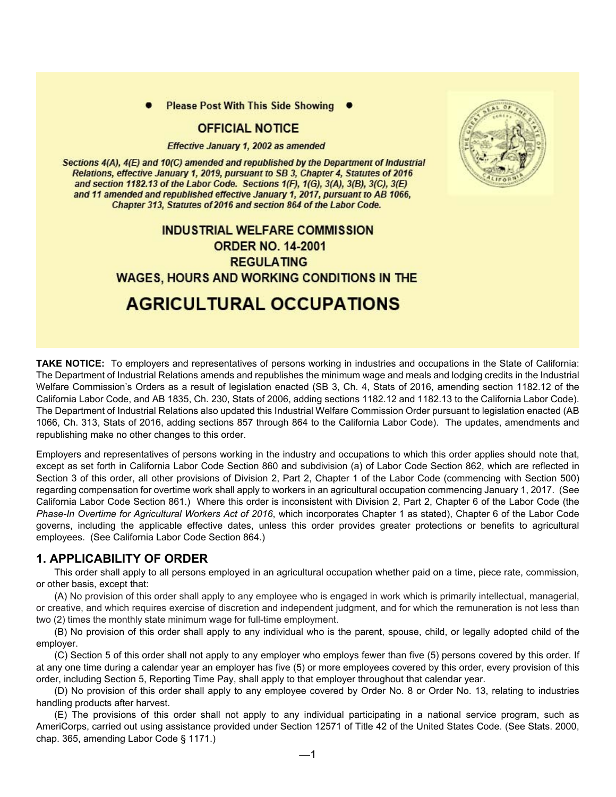Please Post With This Side Showing •

#### **OFFICIAL NOTICE**

Effective January 1, 2002 as amended

Sections 4(A), 4(E) and 10(C) amended and republished by the Department of Industrial Relalions, effective January 1, 2019, pursuanr ro SB 3, Chapter 4, Srarures of 2016 and section 1182.13 of the Labor Code. Sections 1(F), 1(G), 3(A), 3(B), 3(C), 3(E) and 11 amended and republished effective January 1, 2017, pursuant to AB 1066, Chapter 313, Statutes of 2016 and section 864 of the Labor Code.

### **INDU STRIAL WELFARE COMMISSION ORDER NO. 14-2001 REGULATING WAGES, HOURS AND WORKING CONDITIONS IN THE AGRICULTURAL OCCUPATIONS**

**TAKE NOTICE:** To employers and representatives of persons working in industries and occupations in the State of California: The Department of Industrial Relations amends and republishes the minimum wage and meals and lodging credits in the Industrial Welfare Commission's Orders as a result of legislation enacted (SB 3, Ch. 4, Stats of 2016, amending section 1182.12 of the California Labor Code, and AB 1835, Ch. 230, Stats of 2006, adding sections 1182.12 and 1182.13 to the California Labor Code). The Department of Industrial Relations also updated this Industrial Welfare Commission Order pursuant to legislation enacted (AB 1066, Ch. 313, Stats of 2016, adding sections 857 through 864 to the California Labor Code). The updates, amendments and republishing make no other changes to this order.

 *Phase-In Overtime for Agricultural Workers Act of 2016*, which incorporates Chapter 1 as stated), Chapter 6 of the Labor Code Employers and representatives of persons working in the industry and occupations to which this order applies should note that, except as set forth in California Labor Code Section 860 and subdivision (a) of Labor Code Section 862, which are reflected in Section 3 of this order, all other provisions of Division 2, Part 2, Chapter 1 of the Labor Code (commencing with Section 500) regarding compensation for overtime work shall apply to workers in an agricultural occupation commencing January 1, 2017. (See California Labor Code Section 861.) Where this order is inconsistent with Division 2, Part 2, Chapter 6 of the Labor Code (the governs, including the applicable effective dates, unless this order provides greater protections or benefits to agricultural employees. (See California Labor Code Section 864.)

#### **1. APPLICABILITY OF ORDER**

This order shall apply to all persons employed in an agricultural occupation whether paid on a time, piece rate, commission, or other basis, except that:

 (A) No provision of this order shall apply to any employee who is engaged in work which is primarily intellectual, managerial, or creative, and which requires exercise of discretion and independent judgment, and for which the remuneration is not less than two (2) times the monthly state minimum wage for full-time employment.

(B) No provision of this order shall apply to any individual who is the parent, spouse, child, or legally adopted child of the employer.

(C) Section 5 of this order shall not apply to any employer who employs fewer than five (5) persons covered by this order. If at any one time during a calendar year an employer has five (5) or more employees covered by this order, every provision of this order, including Section 5, Reporting Time Pay, shall apply to that employer throughout that calendar year.

(D) No provision of this order shall apply to any employee covered by Order No. 8 or Order No. 13, relating to industries handling products after harvest.

(E) The provisions of this order shall not apply to any individual participating in a national service program, such as AmeriCorps, carried out using assistance provided under Section 12571 of Title 42 of the United States Code. (See Stats. 2000, chap. 365, amending Labor Code § 1171.)

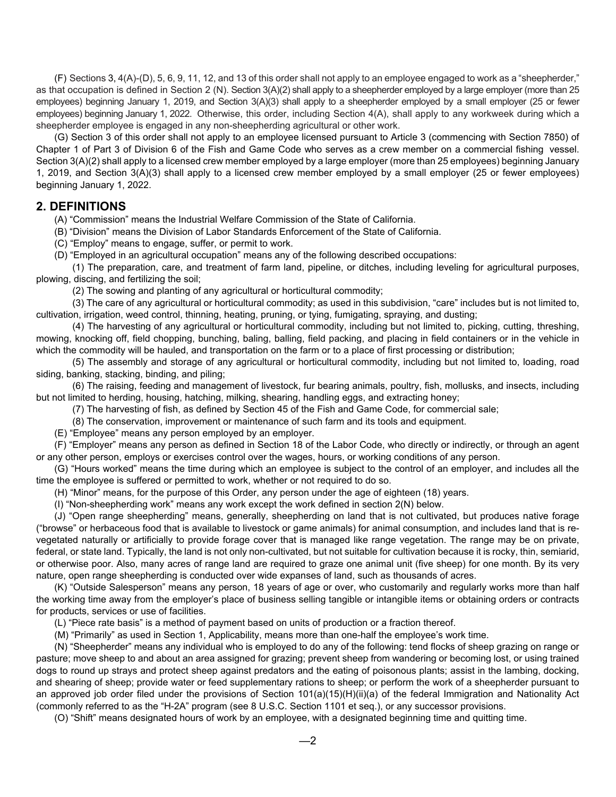(F) Sections 3, 4(A)-(D), 5, 6, 9, 11, 12, and 13 of this order shall not apply to an employee engaged to work as a "sheepherder,"  employees) beginning January 1, 2022. Otherwise, this order, including Section 4(A), shall apply to any workweek during which a as that occupation is defined in Section 2 (N). Section 3(A)(2) shall apply to a sheepherder employed by a large employer (more than 25 employees) beginning January 1, 2019, and Section 3(A)(3) shall apply to a sheepherder employed by a small employer (25 or fewer sheepherder employee is engaged in any non-sheepherding agricultural or other work.

 (G) Section 3 of this order shall not apply to an employee licensed pursuant to Article 3 (commencing with Section 7850) of 1, 2019, and Section 3(A)(3) shall apply to a licensed crew member employed by a small employer (25 or fewer employees) Chapter 1 of Part 3 of Division 6 of the Fish and Game Code who serves as a crew member on a commercial fishing vessel. Section 3(A)(2) shall apply to a licensed crew member employed by a large employer (more than 25 employees) beginning January beginning January 1, 2022.

#### **2. DEFINITIONS**

(A) "Commission" means the Industrial Welfare Commission of the State of California.

(B) "Division" means the Division of Labor Standards Enforcement of the State of California.

(C) "Employ" means to engage, suffer, or permit to work.

(D) "Employed in an agricultural occupation" means any of the following described occupations:

(1) The preparation, care, and treatment of farm land, pipeline, or ditches, including leveling for agricultural purposes, plowing, discing, and fertilizing the soil;

(2) The sowing and planting of any agricultural or horticultural commodity;

(3) The care of any agricultural or horticultural commodity; as used in this subdivision, "care" includes but is not limited to, cultivation, irrigation, weed control, thinning, heating, pruning, or tying, fumigating, spraying, and dusting;

(4) The harvesting of any agricultural or horticultural commodity, including but not limited to, picking, cutting, threshing, mowing, knocking off, field chopping, bunching, baling, balling, field packing, and placing in field containers or in the vehicle in which the commodity will be hauled, and transportation on the farm or to a place of first processing or distribution;

(5) The assembly and storage of any agricultural or horticultural commodity, including but not limited to, loading, road siding, banking, stacking, binding, and piling;

(6) The raising, feeding and management of livestock, fur bearing animals, poultry, fish, mollusks, and insects, including but not limited to herding, housing, hatching, milking, shearing, handling eggs, and extracting honey;

(7) The harvesting of fish, as defined by Section 45 of the Fish and Game Code, for commercial sale;

(8) The conservation, improvement or maintenance of such farm and its tools and equipment.

(E) "Employee" means any person employed by an employer.

(F) "Employer" means any person as defined in Section 18 of the Labor Code, who directly or indirectly, or through an agent or any other person, employs or exercises control over the wages, hours, or working conditions of any person.

(G) "Hours worked" means the time during which an employee is subject to the control of an employer, and includes all the time the employee is suffered or permitted to work, whether or not required to do so.

(H) "Minor" means, for the purpose of this Order, any person under the age of eighteen (18) years.

(I) "Non-sheepherding work" means any work except the work defined in section 2(N) below.

(J) "Open range sheepherding" means, generally, sheepherding on land that is not cultivated, but produces native forage ("browse" or herbaceous food that is available to livestock or game animals) for animal consumption, and includes land that is revegetated naturally or artificially to provide forage cover that is managed like range vegetation. The range may be on private, federal, or state land. Typically, the land is not only non-cultivated, but not suitable for cultivation because it is rocky, thin, semiarid, or otherwise poor. Also, many acres of range land are required to graze one animal unit (five sheep) for one month. By its very nature, open range sheepherding is conducted over wide expanses of land, such as thousands of acres.

(K) "Outside Salesperson" means any person, 18 years of age or over, who customarily and regularly works more than half the working time away from the employer's place of business selling tangible or intangible items or obtaining orders or contracts for products, services or use of facilities.

(L) "Piece rate basis" is a method of payment based on units of production or a fraction thereof.

(M) "Primarily" as used in Section 1, Applicability, means more than one-half the employee's work time.

(N) "Sheepherder" means any individual who is employed to do any of the following: tend flocks of sheep grazing on range or pasture; move sheep to and about an area assigned for grazing; prevent sheep from wandering or becoming lost, or using trained dogs to round up strays and protect sheep against predators and the eating of poisonous plants; assist in the lambing, docking, and shearing of sheep; provide water or feed supplementary rations to sheep; or perform the work of a sheepherder pursuant to an approved job order filed under the provisions of Section 101(a)(15)(H)(ii)(a) of the federal Immigration and Nationality Act (commonly referred to as the "H-2A" program (see 8 U.S.C. Section 1101 et seq.), or any successor provisions.

(O) "Shift" means designated hours of work by an employee, with a designated beginning time and quitting time.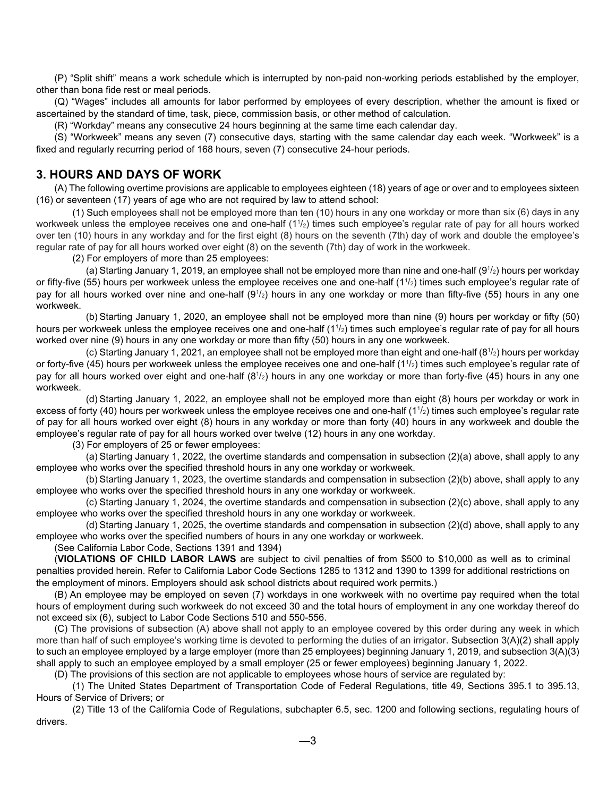(P) "Split shift" means a work schedule which is interrupted by non-paid non-working periods established by the employer, other than bona fide rest or meal periods.

(Q) "Wages" includes all amounts for labor performed by employees of every description, whether the amount is fixed or ascertained by the standard of time, task, piece, commission basis, or other method of calculation.

(R) "Workday" means any consecutive 24 hours beginning at the same time each calendar day.

(S) "Workweek" means any seven (7) consecutive days, starting with the same calendar day each week. "Workweek" is a fixed and regularly recurring period of 168 hours, seven (7) consecutive 24-hour periods.

#### **3. HOURS AND DAYS OF WORK**

(A) The following overtime provisions are applicable to employees eighteen (18) years of age or over and to employees sixteen (16) or seventeen (17) years of age who are not required by law to attend school:

(1) Such employees shall not be employed more than ten (10) hours in any one workday or more than six (6) days in any workweek unless the employee receives one and one-half (1<sup>1/2</sup>) times such employee's regular rate of pay for all hours worked over ten (10) hours in any workday and for the first eight (8) hours on the seventh (7th) day of work and double the employee's regular rate of pay for all hours worked over eight (8) on the seventh (7th) day of work in the workweek.

(2) For employers of more than 25 employees:

(a) Starting January 1, 2019, an employee shall not be employed more than nine and one-half  $(9<sup>1</sup>/2)$  hours per workday or fifty-five (55) hours per workweek unless the employee receives one and one-half  $(1<sup>1</sup>/<sub>2</sub>)$  times such employee's regular rate of pay for all hours worked over nine and one-half  $(9<sup>1</sup>/<sub>2</sub>)$  hours in any one workday or more than fifty-five (55) hours in any one workweek.

(b) Starting January 1, 2020, an employee shall not be employed more than nine (9) hours per workday or fifty (50) hours per workweek unless the employee receives one and one-half  $(1<sup>1</sup>/2)$  times such employee's regular rate of pay for all hours worked over nine (9) hours in any one workday or more than fifty (50) hours in any one workweek.

(c) Starting January 1, 2021, an employee shall not be employed more than eight and one-half  $(8<sup>1</sup>/2)$  hours per workday or forty-five (45) hours per workweek unless the employee receives one and one-half ( $1\frac{1}{2}$ ) times such employee's regular rate of pay for all hours worked over eight and one-half  $(8<sup>1</sup>/2)$  hours in any one workday or more than forty-five (45) hours in any one workweek.

(d) Starting January 1, 2022, an employee shall not be employed more than eight (8) hours per workday or work in excess of forty (40) hours per workweek unless the employee receives one and one-half  $(1<sup>1</sup>/<sub>2</sub>)$  times such employee's regular rate of pay for all hours worked over eight (8) hours in any workday or more than forty (40) hours in any workweek and double the employee's regular rate of pay for all hours worked over twelve (12) hours in any one workday.

(3) For employers of 25 or fewer employees:

(a) Starting January 1, 2022, the overtime standards and compensation in subsection (2)(a) above, shall apply to any employee who works over the specified threshold hours in any one workday or workweek.

(b) Starting January 1, 2023, the overtime standards and compensation in subsection (2)(b) above, shall apply to any employee who works over the specified threshold hours in any one workday or workweek.

(c) Starting January 1, 2024, the overtime standards and compensation in subsection (2)(c) above, shall apply to any employee who works over the specified threshold hours in any one workday or workweek.

(d) Starting January 1, 2025, the overtime standards and compensation in subsection (2)(d) above, shall apply to any employee who works over the specified numbers of hours in any one workday or workweek.

(See California Labor Code, Sections 1391 and 1394)

(**VIOLATIONS OF CHILD LABOR LAWS** are subject to civil penalties of from \$500 to \$10,000 as well as to criminal penalties provided herein. Refer to California Labor Code Sections 1285 to 1312 and 1390 to 1399 for additional restrictions on the employment of minors. Employers should ask school districts about required work permits.)

(B) An employee may be employed on seven (7) workdays in one workweek with no overtime pay required when the total hours of employment during such workweek do not exceed 30 and the total hours of employment in any one workday thereof do not exceed six (6), subject to Labor Code Sections 510 and 550-556.

shall apply to such an employee employed by a small employer (25 or fewer employees) beginning January 1, 2022. (C) The provisions of subsection (A) above shall not apply to an employee covered by this order during any week in which more than half of such employee's working time is devoted to performing the duties of an irrigator. Subsection 3(A)(2) shall apply to such an employee employed by a large employer (more than 25 employees) beginning January 1, 2019, and subsection 3(A)(3)

(D) The provisions of this section are not applicable to employees whose hours of service are regulated by:

(1) The United States Department of Transportation Code of Federal Regulations, title 49, Sections 395.1 to 395.13, Hours of Service of Drivers; or

(2) Title 13 of the California Code of Regulations, subchapter 6.5, sec. 1200 and following sections, regulating hours of drivers.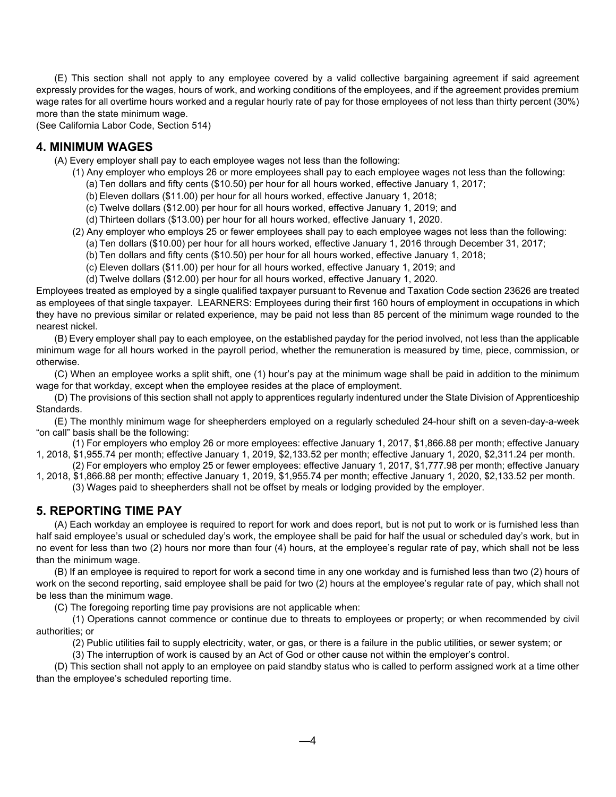(E) This section shall not apply to any employee covered by a valid collective bargaining agreement if said agreement expressly provides for the wages, hours of work, and working conditions of the employees, and if the agreement provides premium wage rates for all overtime hours worked and a regular hourly rate of pay for those employees of not less than thirty percent (30%) more than the state minimum wage.

(See California Labor Code, Section 514)

#### **4. MINIMUM WAGES**

(A) Every employer shall pay to each employee wages not less than the following:

- (1) Any employer who employs 26 or more employees shall pay to each employee wages not less than the following:
	- (a) Ten dollars and fifty cents (\$10.50) per hour for all hours worked, effective January 1, 2017;
	- (b) Eleven dollars (\$11.00) per hour for all hours worked, effective January 1, 2018;
	- (c) Twelve dollars (\$12.00) per hour for all hours worked, effective January 1, 2019; and
	- (d) Thirteen dollars (\$13.00) per hour for all hours worked, effective January 1, 2020.
- (2) Any employer who employs 25 or fewer employees shall pay to each employee wages not less than the following:
	- (a) Ten dollars (\$10.00) per hour for all hours worked, effective January 1, 2016 through December 31, 2017;
	- (b) Ten dollars and fifty cents (\$10.50) per hour for all hours worked, effective January 1, 2018;
	- (c) Eleven dollars (\$11.00) per hour for all hours worked, effective January 1, 2019; and
	- (d) Twelve dollars (\$12.00) per hour for all hours worked, effective January 1, 2020.

Employees treated as employed by a single qualified taxpayer pursuant to Revenue and Taxation Code section 23626 are treated as employees of that single taxpayer. LEARNERS: Employees during their first 160 hours of employment in occupations in which they have no previous similar or related experience, may be paid not less than 85 percent of the minimum wage rounded to the nearest nickel.

(B) Every employer shall pay to each employee, on the established payday for the period involved, not less than the applicable minimum wage for all hours worked in the payroll period, whether the remuneration is measured by time, piece, commission, or otherwise.

(C) When an employee works a split shift, one (1) hour's pay at the minimum wage shall be paid in addition to the minimum wage for that workday, except when the employee resides at the place of employment.

(D) The provisions of this section shall not apply to apprentices regularly indentured under the State Division of Apprenticeship Standards.

(E) The monthly minimum wage for sheepherders employed on a regularly scheduled 24-hour shift on a seven-day-a-week "on call" basis shall be the following:

(1) For employers who employ 26 or more employees: effective January 1, 2017, \$1,866.88 per month; effective January 1, 2018, \$1,955.74 per month; effective January 1, 2019, \$2,133.52 per month; effective January 1, 2020, \$2,311.24 per month.

(2) For employers who employ 25 or fewer employees: effective January 1, 2017, \$1,777.98 per month; effective January 1, 2018, \$1,866.88 per month; effective January 1, 2019, \$1,955.74 per month; effective January 1, 2020, \$2,133.52 per month.

(3) Wages paid to sheepherders shall not be offset by meals or lodging provided by the employer.

#### **5. REPORTING TIME PAY**

(A) Each workday an employee is required to report for work and does report, but is not put to work or is furnished less than half said employee's usual or scheduled day's work, the employee shall be paid for half the usual or scheduled day's work, but in no event for less than two (2) hours nor more than four (4) hours, at the employee's regular rate of pay, which shall not be less than the minimum wage.

(B) If an employee is required to report for work a second time in any one workday and is furnished less than two (2) hours of work on the second reporting, said employee shall be paid for two (2) hours at the employee's regular rate of pay, which shall not be less than the minimum wage.

(C) The foregoing reporting time pay provisions are not applicable when:

(1) Operations cannot commence or continue due to threats to employees or property; or when recommended by civil authorities; or

(2) Public utilities fail to supply electricity, water, or gas, or there is a failure in the public utilities, or sewer system; or

(3) The interruption of work is caused by an Act of God or other cause not within the employer's control.

(D) This section shall not apply to an employee on paid standby status who is called to perform assigned work at a time other than the employee's scheduled reporting time.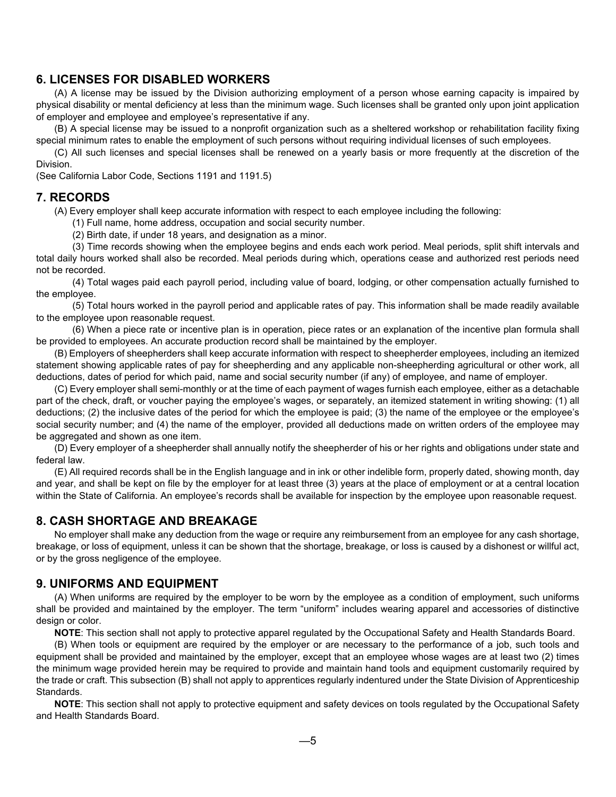#### **6. LICENSES FOR DISABLED WORKERS**

(A) A license may be issued by the Division authorizing employment of a person whose earning capacity is impaired by physical disability or mental deficiency at less than the minimum wage. Such licenses shall be granted only upon joint application of employer and employee and employee's representative if any.

(B) A special license may be issued to a nonprofit organization such as a sheltered workshop or rehabilitation facility fixing special minimum rates to enable the employment of such persons without requiring individual licenses of such employees.

(C) All such licenses and special licenses shall be renewed on a yearly basis or more frequently at the discretion of the Division.

(See California Labor Code, Sections 1191 and 1191.5)

#### **7. RECORDS**

(A) Every employer shall keep accurate information with respect to each employee including the following:

(1) Full name, home address, occupation and social security number.

(2) Birth date, if under 18 years, and designation as a minor.

(3) Time records showing when the employee begins and ends each work period. Meal periods, split shift intervals and total daily hours worked shall also be recorded. Meal periods during which, operations cease and authorized rest periods need not be recorded.

(4) Total wages paid each payroll period, including value of board, lodging, or other compensation actually furnished to the employee.

(5) Total hours worked in the payroll period and applicable rates of pay. This information shall be made readily available to the employee upon reasonable request.

(6) When a piece rate or incentive plan is in operation, piece rates or an explanation of the incentive plan formula shall be provided to employees. An accurate production record shall be maintained by the employer.

(B) Employers of sheepherders shall keep accurate information with respect to sheepherder employees, including an itemized statement showing applicable rates of pay for sheepherding and any applicable non-sheepherding agricultural or other work, all deductions, dates of period for which paid, name and social security number (if any) of employee, and name of employer.

(C) Every employer shall semi-monthly or at the time of each payment of wages furnish each employee, either as a detachable part of the check, draft, or voucher paying the employee's wages, or separately, an itemized statement in writing showing: (1) all deductions; (2) the inclusive dates of the period for which the employee is paid; (3) the name of the employee or the employee's social security number; and (4) the name of the employer, provided all deductions made on written orders of the employee may be aggregated and shown as one item.

(D) Every employer of a sheepherder shall annually notify the sheepherder of his or her rights and obligations under state and federal law.

 and year, and shall be kept on file by the employer for at least three (3) years at the place of employment or at a central location (E) All required records shall be in the English language and in ink or other indelible form, properly dated, showing month, day within the State of California. An employee's records shall be available for inspection by the employee upon reasonable request.

#### **8. CASH SHORTAGE AND BREAKAGE**

No employer shall make any deduction from the wage or require any reimbursement from an employee for any cash shortage, breakage, or loss of equipment, unless it can be shown that the shortage, breakage, or loss is caused by a dishonest or willful act, or by the gross negligence of the employee.

#### **9. UNIFORMS AND EQUIPMENT**

(A) When uniforms are required by the employer to be worn by the employee as a condition of employment, such uniforms shall be provided and maintained by the employer. The term "uniform" includes wearing apparel and accessories of distinctive design or color.

**NOTE**: This section shall not apply to protective apparel regulated by the Occupational Safety and Health Standards Board.

(B) When tools or equipment are required by the employer or are necessary to the performance of a job, such tools and equipment shall be provided and maintained by the employer, except that an employee whose wages are at least two (2) times the minimum wage provided herein may be required to provide and maintain hand tools and equipment customarily required by the trade or craft. This subsection (B) shall not apply to apprentices regularly indentured under the State Division of Apprenticeship Standards.

**NOTE**: This section shall not apply to protective equipment and safety devices on tools regulated by the Occupational Safety and Health Standards Board.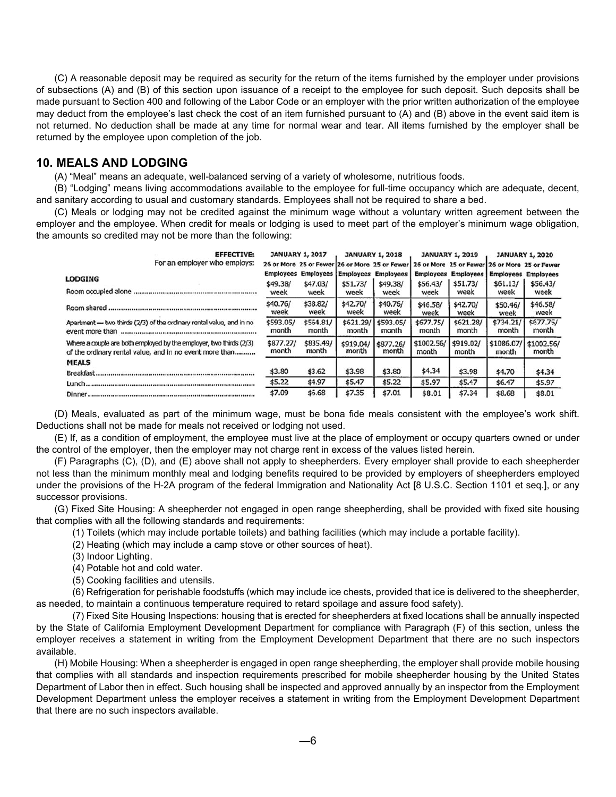(C) A reasonable deposit may be required as security for the return of the items furnished by the employer under provisions of subsections (A) and (B) of this section upon issuance of a receipt to the employee for such deposit. Such deposits shall be made pursuant to Section 400 and following of the Labor Code or an employer with the prior written authorization of the employee may deduct from the employee's last check the cost of an item furnished pursuant to (A) and (B) above in the event said item is not returned. No deduction shall be made at any time for normal wear and tear. All items furnished by the employer shall be returned by the employee upon completion of the job.

#### **10. MEALS AND LODGING**

(A) "Meal" means an adequate, well-balanced serving of a variety of wholesome, nutritious foods.

(B) "Lodging" means living accommodations available to the employee for full-time occupancy which are adequate, decent, and sanitary according to usual and customary standards. Employees shall not be required to share a bed.

(C) Meals or lodging may not be credited against the minimum wage without a voluntary written agreement between the employer and the employee. When credit for meals or lodging is used to meet part of the employer's minimum wage obligation, the amounts so credited may not be more than the following:

| <b>EFFECTIVE:</b><br>For an employer who employs:                                                                             | <b>JANUARY 1, 2017</b> |                                                | 26 or More 25 or Fewer 26 or More 25 or Fewer | <b>JANUARY 1, 2018</b>               |                                      | <b>JANUARY 1, 2019</b><br>26 or More 25 or Fewer 26 or More 25 or Fewer |                     | <b>JANUARY 1, 2020</b>                         |
|-------------------------------------------------------------------------------------------------------------------------------|------------------------|------------------------------------------------|-----------------------------------------------|--------------------------------------|--------------------------------------|-------------------------------------------------------------------------|---------------------|------------------------------------------------|
| <b>LODGING</b>                                                                                                                | \$49.38/<br>week       | <b>Employees Employees</b><br>\$47.03/<br>week | <b>Employees</b><br>\$51.73/<br>week          | <b>Employees</b><br>\$49,38/<br>week | <b>Employees</b><br>\$56.43/<br>week | <b>Employees</b><br>\$51.73/<br>week                                    | \$61.13/<br>week    | <b>Employees Employees</b><br>\$56.43/<br>week |
|                                                                                                                               | \$40.76/<br>week       | \$33.82/<br>week                               | \$42.70/<br>week                              | \$40.76/<br>week                     | \$46.58/<br>week                     | \$42.70/<br>week                                                        | \$50,46/<br>week    | \$46.58/<br>week                               |
| Apartment - two thirds (2/3) of the ordinary rental value, and in no                                                          | \$593.05/<br>month     | \$554.81/<br>month                             | \$621.29/<br>month                            | \$593.05/<br>month                   | \$677.75/<br>month                   | \$621.28/<br>month                                                      | \$734.21/<br>month  | \$677.75/<br>month                             |
| Where a couple are both employed by the employer, two thirds (2/3)<br>of the ordinary rental value, and in no event more than | \$877.27/<br>month     | \$835,49/<br>month                             | \$919.04/<br>month                            | \$877.26/<br>month                   | \$1002.56/<br>month                  | \$919.02/<br>month                                                      | \$1086.07/<br>month | \$1002.56/<br>month                            |
| <b>MEALS</b>                                                                                                                  | \$3.80                 | \$3.62                                         | \$3.98                                        | \$3.80                               | \$4.34                               | \$3.98                                                                  | \$4.70              | \$4.34                                         |
| Lunch.                                                                                                                        | \$5.22                 | \$4.97                                         | \$5.47                                        | \$5.22                               | \$5.97                               | \$5.47                                                                  | \$6.47              | \$5.97                                         |
|                                                                                                                               | \$7.09                 | \$5.68                                         | \$7.35                                        | \$7.01                               | \$8.01                               | \$7.34                                                                  | \$8.68              | \$8.01                                         |

(D) Meals, evaluated as part of the minimum wage, must be bona fide meals consistent with the employee's work shift. Deductions shall not be made for meals not received or lodging not used.

(E) If, as a condition of employment, the employee must live at the place of employment or occupy quarters owned or under the control of the employer, then the employer may not charge rent in excess of the values listed herein.

(F) Paragraphs (C), (D), and (E) above shall not apply to sheepherders. Every employer shall provide to each sheepherder not less than the minimum monthly meal and lodging benefits required to be provided by employers of sheepherders employed under the provisions of the H-2A program of the federal Immigration and Nationality Act [8 U.S.C. Section 1101 et seq.], or any successor provisions.

(G) Fixed Site Housing: A sheepherder not engaged in open range sheepherding, shall be provided with fixed site housing that complies with all the following standards and requirements:

(1) Toilets (which may include portable toilets) and bathing facilities (which may include a portable facility).

(2) Heating (which may include a camp stove or other sources of heat).

(3) Indoor Lighting.

(4) Potable hot and cold water.

(5) Cooking facilities and utensils.

(6) Refrigeration for perishable foodstuffs (which may include ice chests, provided that ice is delivered to the sheepherder, as needed, to maintain a continuous temperature required to retard spoilage and assure food safety).

(7) Fixed Site Housing Inspections: housing that is erected for sheepherders at fixed locations shall be annually inspected by the State of California Employment Development Department for compliance with Paragraph (F) of this section, unless the employer receives a statement in writing from the Employment Development Department that there are no such inspectors available.

(H) Mobile Housing: When a sheepherder is engaged in open range sheepherding, the employer shall provide mobile housing that complies with all standards and inspection requirements prescribed for mobile sheepherder housing by the United States Department of Labor then in effect. Such housing shall be inspected and approved annually by an inspector from the Employment Development Department unless the employer receives a statement in writing from the Employment Development Department that there are no such inspectors available.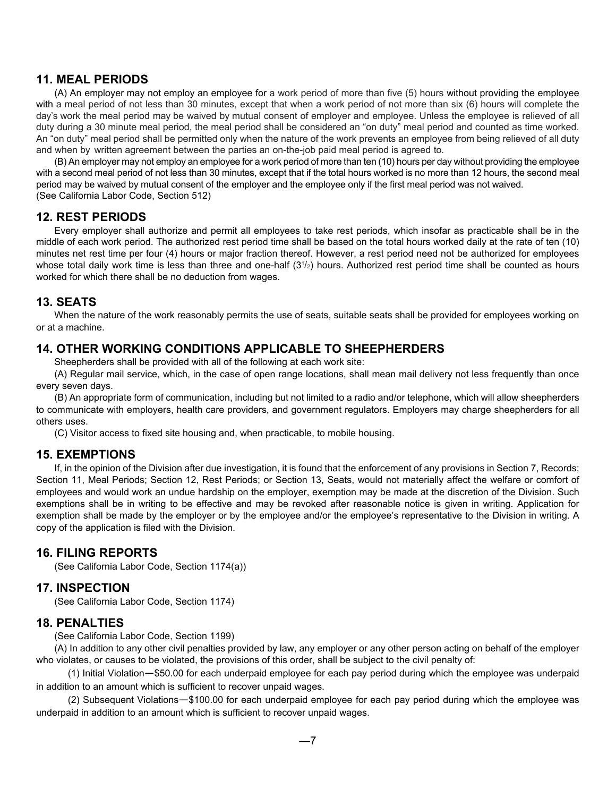#### **11. MEAL PERIODS**

 day's work the meal period may be waived by mutual consent of employer and employee. Unless the employee is relieved of all and when by written agreement between the parties an on-the-job paid meal period is agreed to. (A) An employer may not employ an employee for a work period of more than five (5) hours without providing the employee with a meal period of not less than 30 minutes, except that when a work period of not more than six (6) hours will complete the duty during a 30 minute meal period, the meal period shall be considered an "on duty" meal period and counted as time worked. An "on duty" meal period shall be permitted only when the nature of the work prevents an employee from being relieved of all duty

 period may be waived by mutual consent of the employer and the employee only if the first meal period was not waived. (B) An employer may not employ an employee for a work period of more than ten (10) hours per day without providing the employee with a second meal period of not less than 30 minutes, except that if the total hours worked is no more than 12 hours, the second meal (See California Labor Code, Section 512)

#### **12. REST PERIODS**

Every employer shall authorize and permit all employees to take rest periods, which insofar as practicable shall be in the middle of each work period. The authorized rest period time shall be based on the total hours worked daily at the rate of ten (10) minutes net rest time per four (4) hours or major fraction thereof. However, a rest period need not be authorized for employees whose total daily work time is less than three and one-half  $(3<sup>1</sup>/<sub>2</sub>)$  hours. Authorized rest period time shall be counted as hours worked for which there shall be no deduction from wages.

#### **13. SEATS**

When the nature of the work reasonably permits the use of seats, suitable seats shall be provided for employees working on or at a machine.

#### **14. OTHER WORKING CONDITIONS APPLICABLE TO SHEEPHERDERS**

Sheepherders shall be provided with all of the following at each work site:

(A) Regular mail service, which, in the case of open range locations, shall mean mail delivery not less frequently than once every seven days.

(B) An appropriate form of communication, including but not limited to a radio and/or telephone, which will allow sheepherders to communicate with employers, health care providers, and government regulators. Employers may charge sheepherders for all others uses.

(C) Visitor access to fixed site housing and, when practicable, to mobile housing.

#### **15. EXEMPTIONS**

If, in the opinion of the Division after due investigation, it is found that the enforcement of any provisions in Section 7, Records; Section 11, Meal Periods; Section 12, Rest Periods; or Section 13, Seats, would not materially affect the welfare or comfort of employees and would work an undue hardship on the employer, exemption may be made at the discretion of the Division. Such exemptions shall be in writing to be effective and may be revoked after reasonable notice is given in writing. Application for exemption shall be made by the employer or by the employee and/or the employee's representative to the Division in writing. A copy of the application is filed with the Division.

#### **16. FILING REPORTS**

(See California Labor Code, Section 1174(a))

#### **17. INSPECTION**

(See California Labor Code, Section 1174)

#### **18. PENALTIES**

(See California Labor Code, Section 1199)

(A) In addition to any other civil penalties provided by law, any employer or any other person acting on behalf of the employer who violates, or causes to be violated, the provisions of this order, shall be subject to the civil penalty of:

(1) Initial Violation—\$50.00 for each underpaid employee for each pay period during which the employee was underpaid in addition to an amount which is sufficient to recover unpaid wages.

(2) Subsequent Violations—\$100.00 for each underpaid employee for each pay period during which the employee was underpaid in addition to an amount which is sufficient to recover unpaid wages.